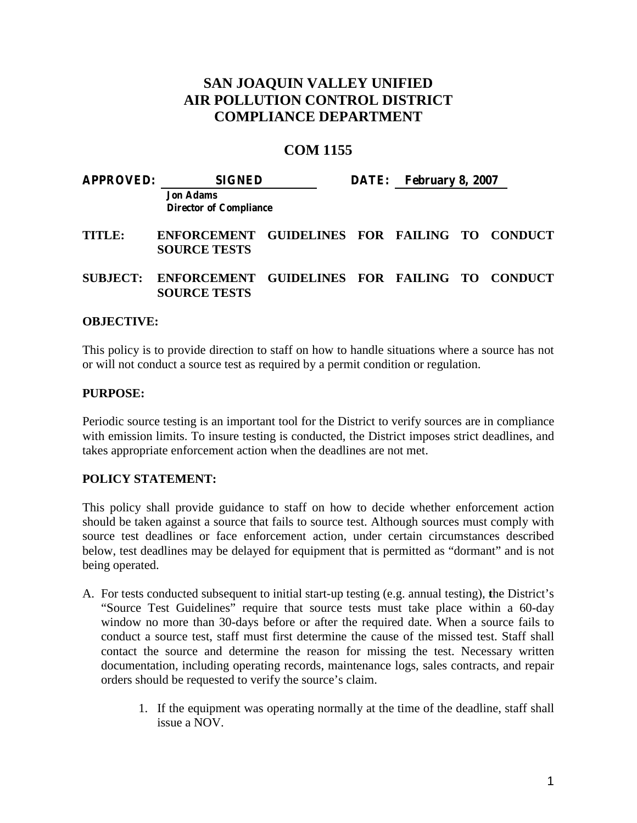## **SAN JOAQUIN VALLEY UNIFIED AIR POLLUTION CONTROL DISTRICT COMPLIANCE DEPARTMENT**

## **COM 1155**

| <b>APPROVED:</b>  | <b>SIGNED</b>                                                                 |  | DATE: February 8, 2007 |  |  |
|-------------------|-------------------------------------------------------------------------------|--|------------------------|--|--|
|                   | <b>Jon Adams</b><br><b>Director of Compliance</b>                             |  |                        |  |  |
| TITLE:            | ENFORCEMENT GUIDELINES FOR FAILING TO CONDUCT<br><b>SOURCE TESTS</b>          |  |                        |  |  |
|                   | SUBJECT: ENFORCEMENT GUIDELINES FOR FAILING TO CONDUCT<br><b>SOURCE TESTS</b> |  |                        |  |  |
| <b>OBJECTIVE:</b> |                                                                               |  |                        |  |  |

This policy is to provide direction to staff on how to handle situations where a source has not or will not conduct a source test as required by a permit condition or regulation.

## **PURPOSE:**

Periodic source testing is an important tool for the District to verify sources are in compliance with emission limits. To insure testing is conducted, the District imposes strict deadlines, and takes appropriate enforcement action when the deadlines are not met.

## **POLICY STATEMENT:**

This policy shall provide guidance to staff on how to decide whether enforcement action should be taken against a source that fails to source test. Although sources must comply with source test deadlines or face enforcement action, under certain circumstances described below, test deadlines may be delayed for equipment that is permitted as "dormant" and is not being operated.

- A. For tests conducted subsequent to initial start-up testing (e.g. annual testing), **t**he District's "Source Test Guidelines" require that source tests must take place within a 60-day window no more than 30-days before or after the required date. When a source fails to conduct a source test, staff must first determine the cause of the missed test. Staff shall contact the source and determine the reason for missing the test. Necessary written documentation, including operating records, maintenance logs, sales contracts, and repair orders should be requested to verify the source's claim.
	- 1. If the equipment was operating normally at the time of the deadline, staff shall issue a NOV.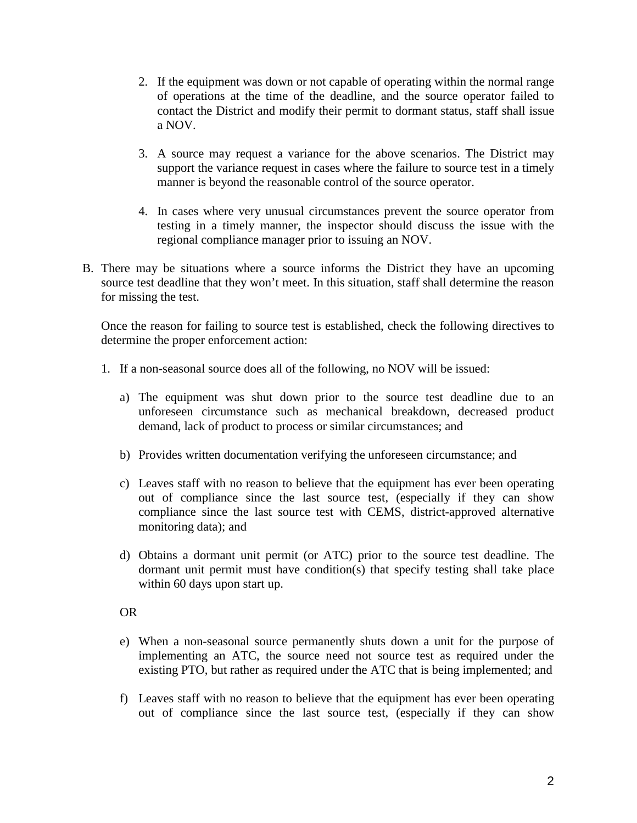- 2. If the equipment was down or not capable of operating within the normal range of operations at the time of the deadline, and the source operator failed to contact the District and modify their permit to dormant status, staff shall issue a NOV.
- 3. A source may request a variance for the above scenarios. The District may support the variance request in cases where the failure to source test in a timely manner is beyond the reasonable control of the source operator.
- 4. In cases where very unusual circumstances prevent the source operator from testing in a timely manner, the inspector should discuss the issue with the regional compliance manager prior to issuing an NOV.
- B. There may be situations where a source informs the District they have an upcoming source test deadline that they won't meet. In this situation, staff shall determine the reason for missing the test.

Once the reason for failing to source test is established, check the following directives to determine the proper enforcement action:

- 1. If a non-seasonal source does all of the following, no NOV will be issued:
	- a) The equipment was shut down prior to the source test deadline due to an unforeseen circumstance such as mechanical breakdown, decreased product demand, lack of product to process or similar circumstances; and
	- b) Provides written documentation verifying the unforeseen circumstance; and
	- c) Leaves staff with no reason to believe that the equipment has ever been operating out of compliance since the last source test, (especially if they can show compliance since the last source test with CEMS, district-approved alternative monitoring data); and
	- d) Obtains a dormant unit permit (or ATC) prior to the source test deadline. The dormant unit permit must have condition(s) that specify testing shall take place within 60 days upon start up.

OR

- e) When a non-seasonal source permanently shuts down a unit for the purpose of implementing an ATC, the source need not source test as required under the existing PTO, but rather as required under the ATC that is being implemented; and
- f) Leaves staff with no reason to believe that the equipment has ever been operating out of compliance since the last source test, (especially if they can show